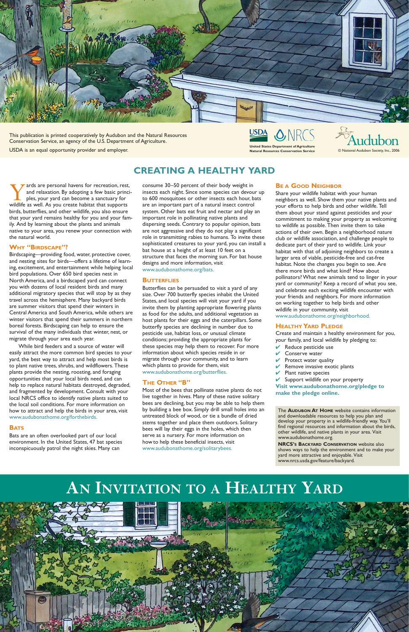Yards are personal havens for recreation, rest, and relaxation. By adopting a few basic principles, your yard can become a sanctuary for wildlife as well. As you create habitat that supports and relaxation. By adopting a few basic principles, your yard can become a sanctuary for birds, butterflies, and other wildlife, you also ensure that your yard remains healthy for you and your family. And by learning about the plants and animals native to your area, you renew your connection with the natural world.

#### **WHY "BIRDSCAPE"?**

Birdscaping—providing food, water, protective cover, and nesting sites for birds—offers a lifetime of learning, excitement, and entertainment while helping local bird populations. Over 650 bird species nest in North America, and a birdscaped yard can connect you with dozens of local resident birds and many additional migratory species that will stop by as they travel across the hemisphere. Many backyard birds are summer visitors that spend their winters in Central America and South America, while others are winter visitors that spend their summers in northern boreal forests. Birdscaping can help to ensure the survival of the many individuals that winter, nest, or migrate through your area each year.

While bird feeders and a source of water will easily attract the more common bird species to your yard, the best way to attract and help most birds is to plant native trees, shrubs, and wildflowers. These plants provide the nesting, roosting, and foraging opportunities that your local birds need, and can help to replace natural habitats destroyed, degraded, and fragmented by development. Consult with your local NRCS office to identify native plants suited to the local soil conditions. For more information on how to attract and help the birds in your area, visit www.audubonathome.org/forthebirds.

#### **BATS**

Bats are an often overlooked part of our local environment. In the United States, 47 bat species inconspicuously patrol the night skies. Many can

consume 30–50 percent of their body weight in insects each night. Since some species can devour up to 600 mosquitoes or other insects each hour, bats are an important part of a natural insect control system. Other bats eat fruit and nectar and play an important role in pollinating native plants and dispersing seeds. Contrary to popular opinion, bats are not aggressive and they do not play a significant role in transmitting rabies to humans. To invite these sophisticated creatures to your yard, you can install a bat house at a height of at least 10 feet on a structure that faces the morning sun. For bat house designs and more information, visit www.audubonathome.org/bats.

#### **BUTTERFLIES**

Butterflies can be persuaded to visit a yard of any size. Over 700 butterfly species inhabit the United States, and local species will visit your yard if you invite them by planting appropriate flowering plants as food for the adults, and additional vegetation as host plants for their eggs and the caterpillars. Some butterfly species are declining in number due to pesticide use, habitat loss, or unusual climate conditions; providing the appropriate plants for these species may help them to recover. For more information about which species reside in or migrate through your community, and to learn which plants to provide for them, visit www.audubonathome.org/butterflies.

#### **THE OTHER "B"**

Most of the bees that pollinate native plants do not live together in hives. Many of these native solitary bees are declining, but you may be able to help them by building a bee box. Simply drill small holes into an untreated block of wood, or tie a bundle of dried stems together and place them outdoors. Solitary bees will lay their eggs in the holes, which then serve as a nursery. For more information on how to help these beneficial insects, visit www.audubonathome.org/solitarybees.

#### **BE A GOOD NEIGHBOR**

Share your wildlife habitat with your human neighbors as well. Show them your native plants and your efforts to help birds and other wildlife. Tell them about your stand against pesticides and your commitment to making your property as welcoming to wildlife as possible. Then invite them to take actions of their own. Begin a neighborhood nature club or wildlife association, and challenge people to dedicate part of their yard to wildlife. Link your habitat with that of adjoining neighbors to create a larger area of viable, pesticide-free and cat-free habitat. Note the changes you begin to see. Are there more birds and what kind? How about pollinators? What new animals tend to linger in your yard or community? Keep a record of what you see, and celebrate each exciting wildlife encounter with your friends and neighbors. For more information on working together to help birds and other wildlife in your community, visit

www.audubonathome.org/neighborhood.

#### **HEALTHY YARD PLEDGE**

Create and maintain a healthy environment for you, your family, and local wildlife by pledging to:

- Reduce pesticide use
- $V$  Conserve water
- Protect water quality
- Remove invasive exotic plants
- Plant native species

Support wildlife on your property

**Visit www.audubonathome.org/pledge to make the pledge online.**

### **CREATING A HEALTHY YARD**

The **AUDUBON AT HOME** website contains information and downloadable resources to help you plan and develop your property in a wildlife-friendly way. You'll find regional resources and information about the birds, other wildlife, and native plants in your area. Visit www.audubonathome.org.

**NRCS'S BACKYARD CONSERVATION** website also shows ways to help the environment and to make your yard more attractive and enjoyable. Visit www.nrcs.usda.gov/feature/backyard.

## **AN INVITATION TO A HEALTHY YARD**





This publication is printed cooperatively by Audubon and the Natural Resources Conservation Service, an agency of the U.S. Department of Agriculture.



 $©$  National Audubon Society, Inc., 2006